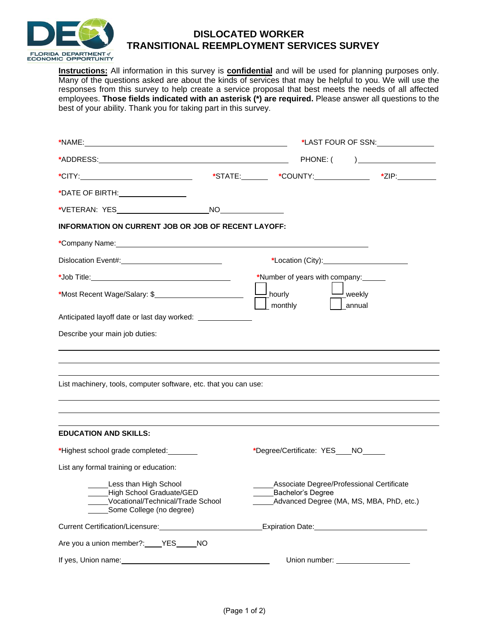

## **DISLOCATED WORKER TRANSITIONAL REEMPLOYMENT SERVICES SURVEY**

**Instructions:** All information in this survey is **confidential** and will be used for planning purposes only. Many of the questions asked are about the kinds of services that may be helpful to you. We will use the responses from this survey to help create a service proposal that best meets the needs of all affected employees. **Those fields indicated with an asterisk (\*) are required.** Please answer all questions to the best of your ability. Thank you for taking part in this survey.

|                                                                                                                                                   |                                    |                                    | *LAST FOUR OF SSN:                                                                    |
|---------------------------------------------------------------------------------------------------------------------------------------------------|------------------------------------|------------------------------------|---------------------------------------------------------------------------------------|
|                                                                                                                                                   |                                    |                                    | $PHONE: ($ $)$                                                                        |
|                                                                                                                                                   |                                    |                                    |                                                                                       |
|                                                                                                                                                   |                                    |                                    |                                                                                       |
|                                                                                                                                                   |                                    |                                    |                                                                                       |
| <b>INFORMATION ON CURRENT JOB OR JOB OF RECENT LAYOFF:</b>                                                                                        |                                    |                                    |                                                                                       |
|                                                                                                                                                   |                                    |                                    |                                                                                       |
|                                                                                                                                                   |                                    |                                    | *Location (City): <u>________________________</u>                                     |
|                                                                                                                                                   | *Number of years with company:     |                                    |                                                                                       |
| *Most Recent Wage/Salary: \$                                                                                                                      | $\Box$ hourly                      | $\mathord{\rightharpoonup}$ weekly |                                                                                       |
| Anticipated layoff date or last day worked: _______________                                                                                       | _ monthly                          | annual                             |                                                                                       |
|                                                                                                                                                   |                                    |                                    |                                                                                       |
| Describe your main job duties:                                                                                                                    |                                    |                                    |                                                                                       |
|                                                                                                                                                   |                                    |                                    |                                                                                       |
|                                                                                                                                                   |                                    |                                    |                                                                                       |
| List machinery, tools, computer software, etc. that you can use:                                                                                  |                                    |                                    |                                                                                       |
|                                                                                                                                                   |                                    |                                    |                                                                                       |
|                                                                                                                                                   |                                    |                                    |                                                                                       |
| <b>EDUCATION AND SKILLS:</b>                                                                                                                      |                                    |                                    |                                                                                       |
| *Highest school grade completed:                                                                                                                  | *Degree/Certificate: YES___NO_____ |                                    |                                                                                       |
| List any formal training or education:                                                                                                            |                                    |                                    |                                                                                       |
| Less than High School<br>High School Graduate/GED<br>Vocational/Technical/Trade School<br>Some College (no degree)                                | Bachelor's Degree                  |                                    | Associate Degree/Professional Certificate<br>Advanced Degree (MA, MS, MBA, PhD, etc.) |
| Current Certification/Licensure:<br>Surface of the Contract of the Current Certification of the Current Certification of the Current Current Curr |                                    |                                    | Expiration Date: Management Control of the Expiration Date:                           |
| Are you a union member?: ____ YES _____ NO                                                                                                        |                                    |                                    |                                                                                       |
| If yes, Union name:<br><u> </u>                                                                                                                   |                                    |                                    | Union number: _____________________                                                   |